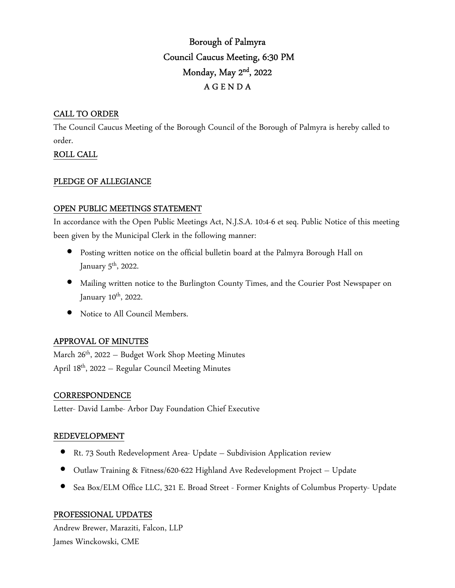# Borough of Palmyra Council Caucus Meeting, 6:30 PM Monday, May 2nd , 2022 A G E N D A

# CALL TO ORDER

The Council Caucus Meeting of the Borough Council of the Borough of Palmyra is hereby called to order.

# ROLL CALL

### PLEDGE OF ALLEGIANCE

# OPEN PUBLIC MEETINGS STATEMENT

In accordance with the Open Public Meetings Act, N.J.S.A. 10:4-6 et seq. Public Notice of this meeting been given by the Municipal Clerk in the following manner:

- Posting written notice on the official bulletin board at the Palmyra Borough Hall on January  $5^{\text{th}}$ , 2022.
- Mailing written notice to the Burlington County Times, and the Courier Post Newspaper on January 10<sup>th</sup>, 2022.
- Notice to All Council Members.

# APPROVAL OF MINUTES

March  $26<sup>th</sup>$ , 2022 – Budget Work Shop Meeting Minutes April 18th, 2022 – Regular Council Meeting Minutes

# **CORRESPONDENCE**

Letter- David Lambe- Arbor Day Foundation Chief Executive

# REDEVELOPMENT

- Rt. 73 South Redevelopment Area- Update Subdivision Application review
- Outlaw Training & Fitness/620-622 Highland Ave Redevelopment Project Update
- Sea Box/ELM Office LLC, 321 E. Broad Street Former Knights of Columbus Property- Update

# PROFESSIONAL UPDATES

Andrew Brewer, Maraziti, Falcon, LLP James Winckowski, CME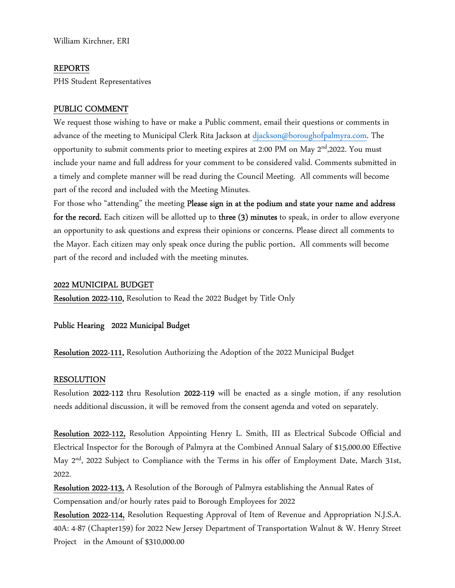William Kirchner, ERI

#### REPORTS

PHS Student Representatives

#### PUBLIC COMMENT

We request those wishing to have or make a Public comment, email their questions or comments in advance of the meeting to Municipal Clerk Rita Jackson at djackson@boroughofpalmyra.com. The opportunity to submit comments prior to meeting expires at 2:00 PM on May 2<sup>nd</sup>,2022. You must include your name and full address for your comment to be considered valid. Comments submitted in a timely and complete manner will be read during the Council Meeting. All comments will become part of the record and included with the Meeting Minutes.

For those who "attending" the meeting Please sign in at the podium and state your name and address for the record. Each citizen will be allotted up to three (3) minutes to speak, in order to allow everyone an opportunity to ask questions and express their opinions or concerns. Please direct all comments to the Mayor. Each citizen may only speak once during the public portion. All comments will become part of the record and included with the meeting minutes.

#### 2022 MUNICIPAL BUDGET

Resolution 2022-110, Resolution to Read the 2022 Budget by Title Only

Public Hearing 2022 Municipal Budget

Resolution 2022-111, Resolution Authorizing the Adoption of the 2022 Municipal Budget

#### RESOLUTION

Resolution 2022-112 thru Resolution 2022-119 will be enacted as a single motion, if any resolution needs additional discussion, it will be removed from the consent agenda and voted on separately.

Resolution 2022-112, Resolution Appointing Henry L. Smith, III as Electrical Subcode Official and Electrical Inspector for the Borough of Palmyra at the Combined Annual Salary of \$15,000.00 Effective May 2<sup>nd</sup>, 2022 Subject to Compliance with the Terms in his offer of Employment Date, March 31st, 2022.

Resolution 2022-113, A Resolution of the Borough of Palmyra establishing the Annual Rates of Compensation and/or hourly rates paid to Borough Employees for 2022

Resolution 2022-114, Resolution Requesting Approval of Item of Revenue and Appropriation N.J.S.A. 40A: 4-87 (Chapter159) for 2022 New Jersey Department of Transportation Walnut & W. Henry Street Project in the Amount of \$310,000.00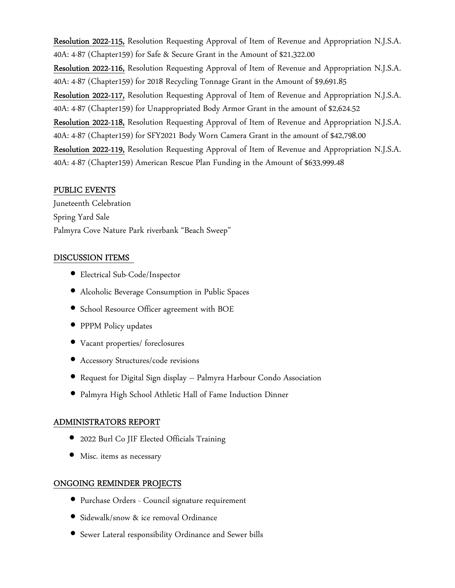Resolution 2022-115, Resolution Requesting Approval of Item of Revenue and Appropriation N.J.S.A. 40A: 4-87 (Chapter159) for Safe & Secure Grant in the Amount of \$21,322.00 Resolution 2022-116, Resolution Requesting Approval of Item of Revenue and Appropriation N.J.S.A. 40A: 4-87 (Chapter159) for 2018 Recycling Tonnage Grant in the Amount of \$9,691.85 Resolution 2022-117, Resolution Requesting Approval of Item of Revenue and Appropriation N.J.S.A. 40A: 4-87 (Chapter159) for Unappropriated Body Armor Grant in the amount of \$2,624.52 Resolution 2022-118, Resolution Requesting Approval of Item of Revenue and Appropriation N.J.S.A. 40A: 4-87 (Chapter159) for SFY2021 Body Worn Camera Grant in the amount of \$42,798.00 Resolution 2022-119, Resolution Requesting Approval of Item of Revenue and Appropriation N.J.S.A. 40A: 4-87 (Chapter159) American Rescue Plan Funding in the Amount of \$633,999.48

### PUBLIC EVENTS

Juneteenth Celebration Spring Yard Sale Palmyra Cove Nature Park riverbank "Beach Sweep"

### DISCUSSION ITEMS

- Electrical Sub-Code/Inspector
- Alcoholic Beverage Consumption in Public Spaces
- School Resource Officer agreement with BOE
- PPPM Policy updates
- Vacant properties/ foreclosures
- Accessory Structures/code revisions
- Request for Digital Sign display Palmyra Harbour Condo Association
- Palmyra High School Athletic Hall of Fame Induction Dinner

# ADMINISTRATORS REPORT

- 2022 Burl Co JIF Elected Officials Training
- Misc. items as necessary

# ONGOING REMINDER PROJECTS

- Purchase Orders Council signature requirement
- Sidewalk/snow & ice removal Ordinance
- Sewer Lateral responsibility Ordinance and Sewer bills